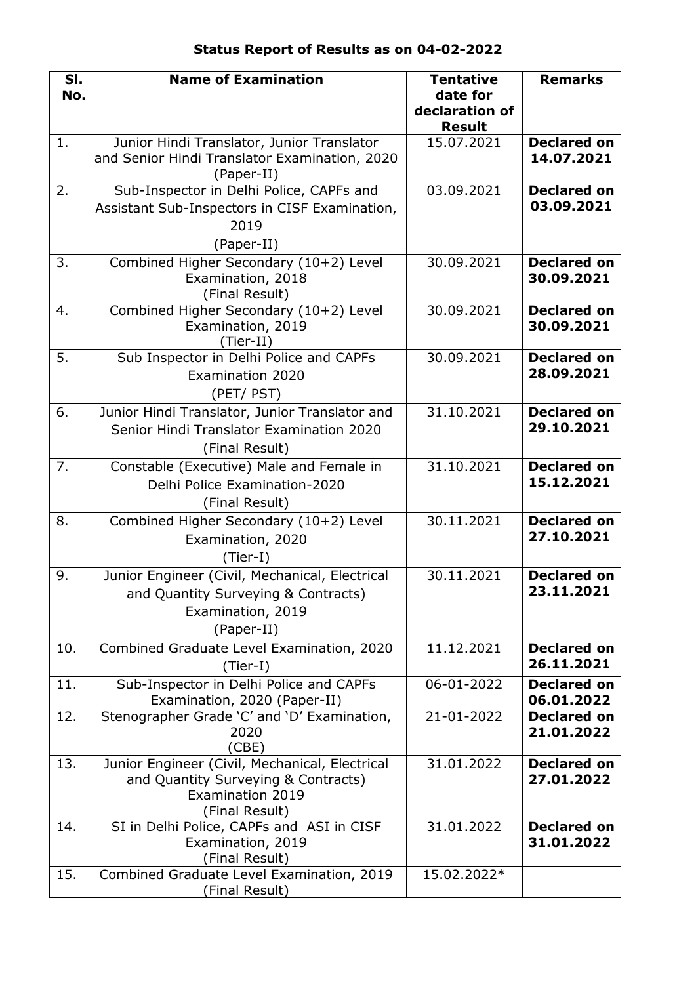| SI.<br>No. | <b>Name of Examination</b>                                                                                                         | <b>Tentative</b><br>date for    | <b>Remarks</b>                   |
|------------|------------------------------------------------------------------------------------------------------------------------------------|---------------------------------|----------------------------------|
|            |                                                                                                                                    | declaration of<br><b>Result</b> |                                  |
| 1.         | Junior Hindi Translator, Junior Translator<br>and Senior Hindi Translator Examination, 2020<br>(Paper-II)                          | 15.07.2021                      | <b>Declared on</b><br>14.07.2021 |
| 2.         | Sub-Inspector in Delhi Police, CAPFs and<br>Assistant Sub-Inspectors in CISF Examination,<br>2019<br>(Paper-II)                    | 03.09.2021                      | <b>Declared on</b><br>03.09.2021 |
| 3.         | Combined Higher Secondary (10+2) Level<br>Examination, 2018<br>(Final Result)                                                      | 30.09.2021                      | <b>Declared on</b><br>30.09.2021 |
| 4.         | Combined Higher Secondary (10+2) Level<br>Examination, 2019<br>(Tier-II)                                                           | 30.09.2021                      | <b>Declared on</b><br>30.09.2021 |
| 5.         | Sub Inspector in Delhi Police and CAPFs<br><b>Examination 2020</b><br>(PET/ PST)                                                   | 30.09.2021                      | <b>Declared on</b><br>28.09.2021 |
| 6.         | Junior Hindi Translator, Junior Translator and<br>Senior Hindi Translator Examination 2020<br>(Final Result)                       | 31.10.2021                      | <b>Declared on</b><br>29.10.2021 |
| 7.         | Constable (Executive) Male and Female in<br>Delhi Police Examination-2020<br>(Final Result)                                        | 31.10.2021                      | <b>Declared on</b><br>15.12.2021 |
| 8.         | Combined Higher Secondary (10+2) Level<br>Examination, 2020<br>$(Tier-I)$                                                          | 30.11.2021                      | <b>Declared on</b><br>27.10.2021 |
| 9.         | Junior Engineer (Civil, Mechanical, Electrical<br>and Quantity Surveying & Contracts)<br>Examination, 2019<br>(Paper-II)           | 30.11.2021                      | <b>Declared on</b><br>23.11.2021 |
| 10.        | Combined Graduate Level Examination, 2020<br>(Tier-I)                                                                              | 11.12.2021                      | <b>Declared on</b><br>26.11.2021 |
| 11.        | Sub-Inspector in Delhi Police and CAPFs<br>Examination, 2020 (Paper-II)                                                            | 06-01-2022                      | <b>Declared on</b><br>06.01.2022 |
| 12.        | Stenographer Grade 'C' and 'D' Examination,<br>2020<br>(CBE)                                                                       | 21-01-2022                      | <b>Declared on</b><br>21.01.2022 |
| 13.        | Junior Engineer (Civil, Mechanical, Electrical<br>and Quantity Surveying & Contracts)<br><b>Examination 2019</b><br>(Final Result) | 31.01.2022                      | <b>Declared on</b><br>27.01.2022 |
| 14.        | SI in Delhi Police, CAPFs and ASI in CISF<br>Examination, 2019<br>(Final Result)                                                   | 31.01.2022                      | <b>Declared on</b><br>31.01.2022 |
| 15.        | Combined Graduate Level Examination, 2019<br>(Final Result)                                                                        | 15.02.2022*                     |                                  |